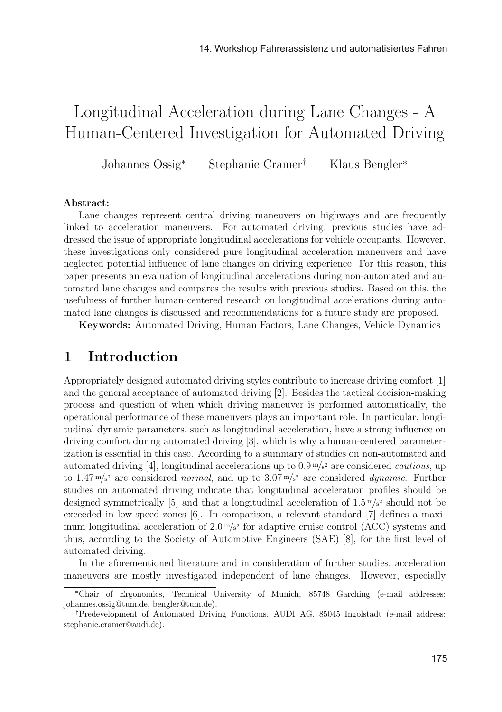# Longitudinal Acceleration during Lane Changes - A Human-Centered Investigation for Automated Driving

Johannes Ossig\* Stephanie Cramer<sup>†</sup> Klaus Bengler<sup>\*</sup>

#### Abstract:

Lane changes represent central driving maneuvers on highways and are frequently linked to acceleration maneuvers. For automated driving, previous studies have addressed the issue of appropriate longitudinal accelerations for vehicle occupants. However, these investigations only considered pure longitudinal acceleration maneuvers and have neglected potential influence of lane changes on driving experience. For this reason, this paper presents an evaluation of longitudinal accelerations during non-automated and automated lane changes and compares the results with previous studies. Based on this, the usefulness of further human-centered research on longitudinal accelerations during automated lane changes is discussed and recommendations for a future study are proposed.

Keywords: Automated Driving, Human Factors, Lane Changes, Vehicle Dynamics

#### 1 Introduction

Appropriately designed automated driving styles contribute to increase driving comfort [1] and the general acceptance of automated driving [2]. Besides the tactical decision-making process and question of when which driving maneuver is performed automatically, the operational performance of these maneuvers plays an important role. In particular, longitudinal dynamic parameters, such as longitudinal acceleration, have a strong influence on driving comfort during automated driving [3], which is why a human-centered parameterization is essential in this case. According to a summary of studies on non-automated and automated driving [4], longitudinal accelerations up to  $0.9 \frac{\text{m}}{\text{s}^2}$  are considered *cautious*, up to 1.47 m/s<sup>2</sup> are considered normal, and up to 3.07 m/s<sup>2</sup> are considered *dynamic*. Further studies on automated driving indicate that longitudinal acceleration profiles should be designed symmetrically [5] and that a longitudinal acceleration of  $1.5 \frac{m}{s^2}$  should not be exceeded in low-speed zones [6]. In comparison, a relevant standard [7] defines a maximum longitudinal acceleration of  $2.0 \frac{m}{s^2}$  for adaptive cruise control (ACC) systems and thus, according to the Society of Automotive Engineers (SAE) [8], for the first level of automated driving.

In the aforementioned literature and in consideration of further studies, acceleration maneuvers are mostly investigated independent of lane changes. However, especially

<sup>-</sup>Chair of Ergonomics, Technical University of Munich, 85748 Garching (e-mail addresses: johannes.ossig@tum.de, bengler@tum.de).

Predevelopment of Automated Driving Functions, AUDI AG, 85045 Ingolstadt (e-mail address: stephanie.cramer@audi.de).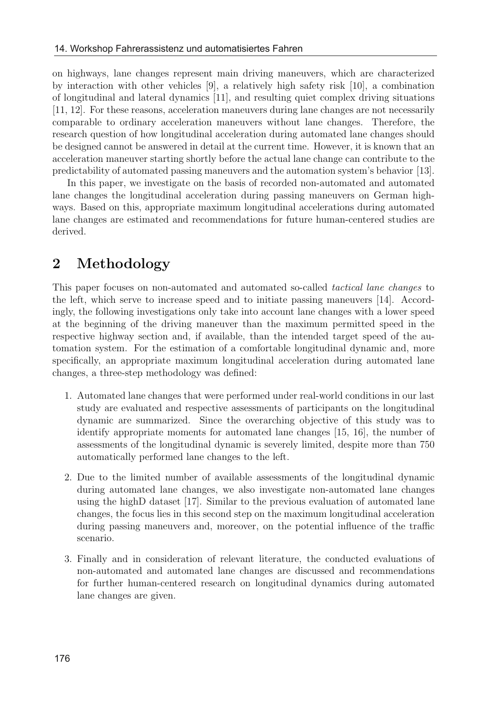on highways, lane changes represent main driving maneuvers, which are characterized by interaction with other vehicles [9], a relatively high safety risk [10], a combination of longitudinal and lateral dynamics [11], and resulting quiet complex driving situations [11, 12]. For these reasons, acceleration maneuvers during lane changes are not necessarily comparable to ordinary acceleration maneuvers without lane changes. Therefore, the research question of how longitudinal acceleration during automated lane changes should be designed cannot be answered in detail at the current time. However, it is known that an acceleration maneuver starting shortly before the actual lane change can contribute to the predictability of automated passing maneuvers and the automation system's behavior [13].

In this paper, we investigate on the basis of recorded non-automated and automated lane changes the longitudinal acceleration during passing maneuvers on German highways. Based on this, appropriate maximum longitudinal accelerations during automated lane changes are estimated and recommendations for future human-centered studies are derived.

# 2 Methodology

This paper focuses on non-automated and automated so-called tactical lane changes to the left, which serve to increase speed and to initiate passing maneuvers [14]. Accordingly, the following investigations only take into account lane changes with a lower speed at the beginning of the driving maneuver than the maximum permitted speed in the respective highway section and, if available, than the intended target speed of the automation system. For the estimation of a comfortable longitudinal dynamic and, more specifically, an appropriate maximum longitudinal acceleration during automated lane changes, a three-step methodology was defined:

- 1. Automated lane changes that were performed under real-world conditions in our last study are evaluated and respective assessments of participants on the longitudinal dynamic are summarized. Since the overarching objective of this study was to identify appropriate moments for automated lane changes [15, 16], the number of assessments of the longitudinal dynamic is severely limited, despite more than 750 automatically performed lane changes to the left.
- 2. Due to the limited number of available assessments of the longitudinal dynamic during automated lane changes, we also investigate non-automated lane changes using the highD dataset [17]. Similar to the previous evaluation of automated lane changes, the focus lies in this second step on the maximum longitudinal acceleration during passing maneuvers and, moreover, on the potential influence of the traffic scenario.
- 3. Finally and in consideration of relevant literature, the conducted evaluations of non-automated and automated lane changes are discussed and recommendations for further human-centered research on longitudinal dynamics during automated lane changes are given.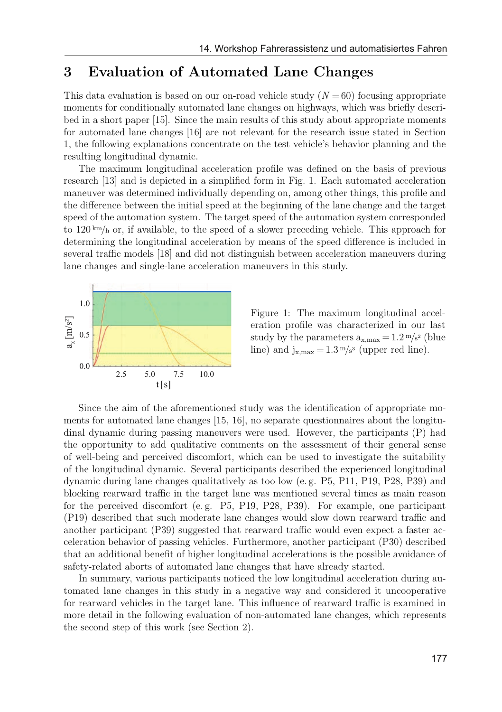### 3 Evaluation of Automated Lane Changes

This data evaluation is based on our on-road vehicle study  $(N = 60)$  focusing appropriate moments for conditionally automated lane changes on highways, which was briefly described in a short paper [15]. Since the main results of this study about appropriate moments for automated lane changes [16] are not relevant for the research issue stated in Section 1, the following explanations concentrate on the test vehicle's behavior planning and the resulting longitudinal dynamic.

The maximum longitudinal acceleration profile was defined on the basis of previous research [13] and is depicted in a simplified form in Fig. 1. Each automated acceleration maneuver was determined individually depending on, among other things, this profile and the difference between the initial speed at the beginning of the lane change and the target speed of the automation system. The target speed of the automation system corresponded to  $120 \text{ km/h}$  or, if available, to the speed of a slower preceding vehicle. This approach for determining the longitudinal acceleration by means of the speed difference is included in several traffic models [18] and did not distinguish between acceleration maneuvers during lane changes and single-lane acceleration maneuvers in this study.



Figure 1: The maximum longitudinal acceleration profile was characterized in our last study by the parameters  $a_{x,max} = 1.2 \frac{m}{s^2}$  (blue line) and  $j_{x,\text{max}} = 1.3 \text{ m/s}^3$  (upper red line).

Since the aim of the aforementioned study was the identification of appropriate moments for automated lane changes [15, 16], no separate questionnaires about the longitudinal dynamic during passing maneuvers were used. However, the participants (P) had the opportunity to add qualitative comments on the assessment of their general sense of well-being and perceived discomfort, which can be used to investigate the suitability of the longitudinal dynamic. Several participants described the experienced longitudinal dynamic during lane changes qualitatively as too low (e. g. P5, P11, P19, P28, P39) and blocking rearward traffic in the target lane was mentioned several times as main reason for the perceived discomfort (e. g. P5, P19, P28, P39). For example, one participant (P19) described that such moderate lane changes would slow down rearward traffic and another participant (P39) suggested that rearward traffic would even expect a faster acceleration behavior of passing vehicles. Furthermore, another participant (P30) described that an additional benefit of higher longitudinal accelerations is the possible avoidance of safety-related aborts of automated lane changes that have already started.

In summary, various participants noticed the low longitudinal acceleration during automated lane changes in this study in a negative way and considered it uncooperative for rearward vehicles in the target lane. This influence of rearward traffic is examined in more detail in the following evaluation of non-automated lane changes, which represents the second step of this work (see Section 2).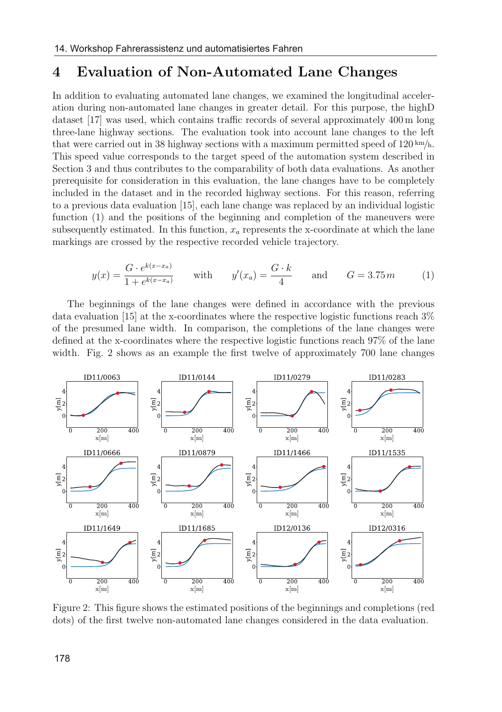### 4 Evaluation of Non-Automated Lane Changes

In addition to evaluating automated lane changes, we examined the longitudinal acceleration during non-automated lane changes in greater detail. For this purpose, the highD dataset [17] was used, which contains traffic records of several approximately 400 m long three-lane highway sections. The evaluation took into account lane changes to the left that were carried out in 38 highway sections with a maximum permitted speed of  $120 \text{ km/h}$ . This speed value corresponds to the target speed of the automation system described in Section 3 and thus contributes to the comparability of both data evaluations. As another prerequisite for consideration in this evaluation, the lane changes have to be completely included in the dataset and in the recorded highway sections. For this reason, referring to a previous data evaluation [15], each lane change was replaced by an individual logistic function (1) and the positions of the beginning and completion of the maneuvers were subsequently estimated. In this function,  $x_a$  represents the x-coordinate at which the lane markings are crossed by the respective recorded vehicle trajectory.

$$
y(x) = \frac{G \cdot e^{k(x - x_a)}}{1 + e^{k(x - x_a)}} \quad \text{with} \quad y'(x_a) = \frac{G \cdot k}{4} \quad \text{and} \quad G = 3.75m \tag{1}
$$

The beginnings of the lane changes were defined in accordance with the previous data evaluation [15] at the x-coordinates where the respective logistic functions reach 3% of the presumed lane width. In comparison, the completions of the lane changes were defined at the x-coordinates where the respective logistic functions reach 97% of the lane width. Fig. 2 shows as an example the first twelve of approximately 700 lane changes



Figure 2: This figure shows the estimated positions of the beginnings and completions (red dots) of the first twelve non-automated lane changes considered in the data evaluation.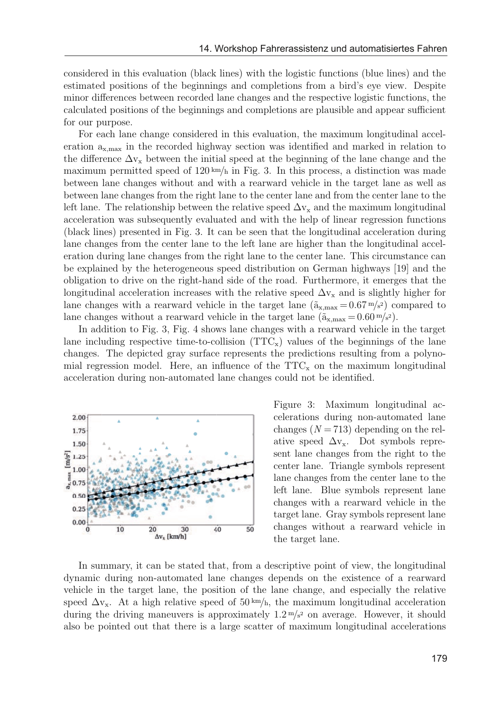considered in this evaluation (black lines) with the logistic functions (blue lines) and the estimated positions of the beginnings and completions from a bird's eye view. Despite minor differences between recorded lane changes and the respective logistic functions, the calculated positions of the beginnings and completions are plausible and appear sufficient for our purpose.

For each lane change considered in this evaluation, the maximum longitudinal acceleration ax,max in the recorded highway section was identified and marked in relation to the difference  $\Delta v_x$  between the initial speed at the beginning of the lane change and the maximum permitted speed of  $120 \text{ km/h}$  in Fig. 3. In this process, a distinction was made between lane changes without and with a rearward vehicle in the target lane as well as between lane changes from the right lane to the center lane and from the center lane to the left lane. The relationship between the relative speed  $\Delta v_x$  and the maximum longitudinal acceleration was subsequently evaluated and with the help of linear regression functions (black lines) presented in Fig. 3. It can be seen that the longitudinal acceleration during lane changes from the center lane to the left lane are higher than the longitudinal acceleration during lane changes from the right lane to the center lane. This circumstance can be explained by the heterogeneous speed distribution on German highways [19] and the obligation to drive on the right-hand side of the road. Furthermore, it emerges that the longitudinal acceleration increases with the relative speed  $\Delta v_x$  and is slightly higher for lane changes with a rearward vehicle in the target lane  $(\tilde{a}_{x,\text{max}} = 0.67 \text{ m/s})$  compared to lane changes without a rearward vehicle in the target lane  $(\tilde{a}_{x, max} = 0.60 \text{ m/s}^2)$ .

In addition to Fig. 3, Fig. 4 shows lane changes with a rearward vehicle in the target lane including respective time-to-collision  $(TTC_x)$  values of the beginnings of the lane changes. The depicted gray surface represents the predictions resulting from a polynomial regression model. Here, an influence of the  $TTC<sub>x</sub>$  on the maximum longitudinal acceleration during non-automated lane changes could not be identified.



Figure 3: Maximum longitudinal accelerations during non-automated lane changes  $(N = 713)$  depending on the relative speed  $\Delta v_x$ . Dot symbols represent lane changes from the right to the center lane. Triangle symbols represent lane changes from the center lane to the left lane. Blue symbols represent lane changes with a rearward vehicle in the target lane. Gray symbols represent lane changes without a rearward vehicle in the target lane.

In summary, it can be stated that, from a descriptive point of view, the longitudinal dynamic during non-automated lane changes depends on the existence of a rearward vehicle in the target lane, the position of the lane change, and especially the relative speed  $\Delta v_x$ . At a high relative speed of 50 km/h, the maximum longitudinal acceleration during the driving maneuvers is approximately  $1.2 \frac{m}{s^2}$  on average. However, it should also be pointed out that there is a large scatter of maximum longitudinal accelerations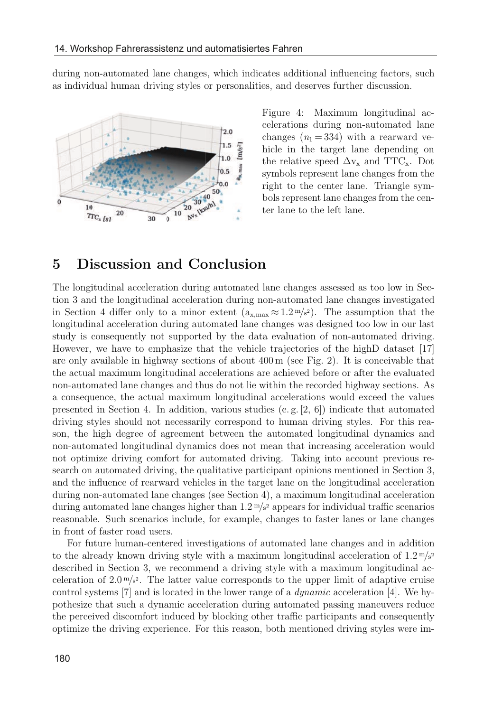during non-automated lane changes, which indicates additional influencing factors, such as individual human driving styles or personalities, and deserves further discussion.



Figure 4: Maximum longitudinal accelerations during non-automated lane changes  $(n_1 = 334)$  with a rearward vehicle in the target lane depending on the relative speed  $\Delta v_x$  and TTC<sub>x</sub>. Dot symbols represent lane changes from the right to the center lane. Triangle symbols represent lane changes from the center lane to the left lane.

#### 5 Discussion and Conclusion

The longitudinal acceleration during automated lane changes assessed as too low in Section 3 and the longitudinal acceleration during non-automated lane changes investigated in Section 4 differ only to a minor extent  $(a_{x,max} \approx 1.2 \text{ m/s}^2)$ . The assumption that the longitudinal acceleration during automated lane changes was designed too low in our last study is consequently not supported by the data evaluation of non-automated driving. However, we have to emphasize that the vehicle trajectories of the highD dataset [17] are only available in highway sections of about 400 m (see Fig. 2). It is conceivable that the actual maximum longitudinal accelerations are achieved before or after the evaluated non-automated lane changes and thus do not lie within the recorded highway sections. As a consequence, the actual maximum longitudinal accelerations would exceed the values presented in Section 4. In addition, various studies (e. g. [2, 6]) indicate that automated driving styles should not necessarily correspond to human driving styles. For this reason, the high degree of agreement between the automated longitudinal dynamics and non-automated longitudinal dynamics does not mean that increasing acceleration would not optimize driving comfort for automated driving. Taking into account previous research on automated driving, the qualitative participant opinions mentioned in Section 3, and the influence of rearward vehicles in the target lane on the longitudinal acceleration during non-automated lane changes (see Section 4), a maximum longitudinal acceleration during automated lane changes higher than  $1.2 \frac{m}{s^2}$  appears for individual traffic scenarios reasonable. Such scenarios include, for example, changes to faster lanes or lane changes in front of faster road users.

For future human-centered investigations of automated lane changes and in addition to the already known driving style with a maximum longitudinal acceleration of  $1.2 \frac{\mathrm{m}}{\mathrm{s}^2}$ described in Section 3, we recommend a driving style with a maximum longitudinal acceleration of  $2.0 \frac{\text{m}}{\text{s}^2}$ . The latter value corresponds to the upper limit of adaptive cruise control systems [7] and is located in the lower range of a dynamic acceleration [4]. We hypothesize that such a dynamic acceleration during automated passing maneuvers reduce the perceived discomfort induced by blocking other traffic participants and consequently optimize the driving experience. For this reason, both mentioned driving styles were im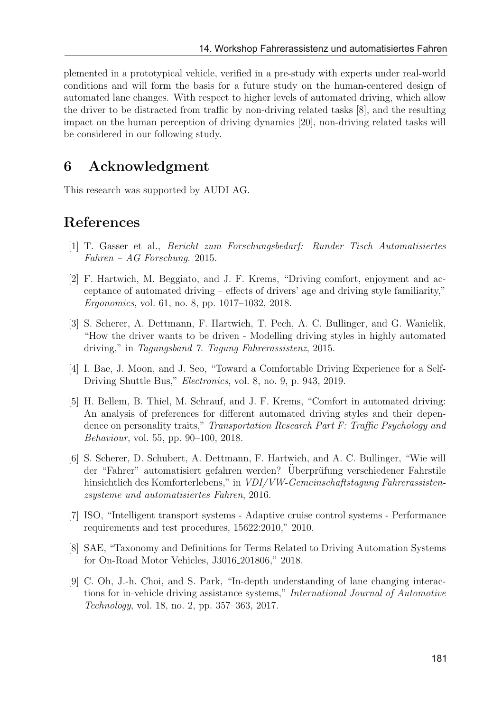plemented in a prototypical vehicle, verified in a pre-study with experts under real-world conditions and will form the basis for a future study on the human-centered design of automated lane changes. With respect to higher levels of automated driving, which allow the driver to be distracted from traffic by non-driving related tasks [8], and the resulting impact on the human perception of driving dynamics [20], non-driving related tasks will be considered in our following study.

## 6 Acknowledgment

This research was supported by AUDI AG.

# References

- [1] T. Gasser et al., Bericht zum Forschungsbedarf: Runder Tisch Automatisiertes Fahren – AG Forschung. 2015.
- [2] F. Hartwich, M. Beggiato, and J. F. Krems, "Driving comfort, enjoyment and acceptance of automated driving – effects of drivers' age and driving style familiarity," Ergonomics, vol. 61, no. 8, pp. 1017–1032, 2018.
- [3] S. Scherer, A. Dettmann, F. Hartwich, T. Pech, A. C. Bullinger, and G. Wanielik, "How the driver wants to be driven - Modelling driving styles in highly automated driving," in Tagungsband 7. Tagung Fahrerassistenz, 2015.
- [4] I. Bae, J. Moon, and J. Seo, "Toward a Comfortable Driving Experience for a Self-Driving Shuttle Bus," Electronics, vol. 8, no. 9, p. 943, 2019.
- [5] H. Bellem, B. Thiel, M. Schrauf, and J. F. Krems, "Comfort in automated driving: An analysis of preferences for different automated driving styles and their dependence on personality traits," Transportation Research Part F: Traffic Psychology and Behaviour, vol. 55, pp. 90–100, 2018.
- [6] S. Scherer, D. Schubert, A. Dettmann, F. Hartwich, and A. C. Bullinger, "Wie will der "Fahrer" automatisiert gefahren werden? Überprüfung verschiedener Fahrstile hinsichtlich des Komforterlebens," in VDI/VW-Gemeinschaftstagung Fahrerassistenzsysteme und automatisiertes Fahren, 2016.
- [7] ISO, "Intelligent transport systems Adaptive cruise control systems Performance requirements and test procedures, 15622:2010," 2010.
- [8] SAE, "Taxonomy and Definitions for Terms Related to Driving Automation Systems for On-Road Motor Vehicles, J3016 201806," 2018.
- [9] C. Oh, J.-h. Choi, and S. Park, "In-depth understanding of lane changing interactions for in-vehicle driving assistance systems," International Journal of Automotive Technology, vol. 18, no. 2, pp. 357–363, 2017.